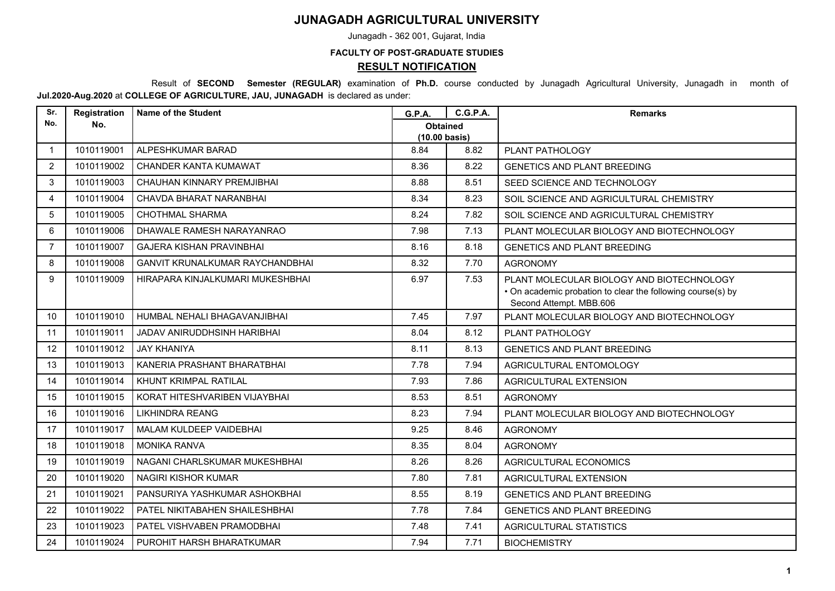## **JUNAGADH AGRICULTURAL UNIVERSITY**

Junagadh - 362 001, Gujarat, India

## **FACULTY OF POST-GRADUATE STUDIES**

## **RESULT NOTIFICATION**

 Result of **SECOND Semester (REGULAR)** examination of **Ph.D.** course conducted by Junagadh Agricultural University, Junagadh in month of **Jul.2020-Aug.2020** at **COLLEGE OF AGRICULTURE, JAU, JUNAGADH** is declared as under:

| Sr.            | Registration | <b>Name of the Student</b>             | <b>G.P.A.</b>                              | <b>C.G.P.A.</b> | <b>Remarks</b>                                                                                                                      |
|----------------|--------------|----------------------------------------|--------------------------------------------|-----------------|-------------------------------------------------------------------------------------------------------------------------------------|
| No.            | No.          |                                        | <b>Obtained</b><br>$(10.00 \text{ basis})$ |                 |                                                                                                                                     |
| $\overline{1}$ | 1010119001   | ALPESHKUMAR BARAD                      | 8.84                                       | 8.82            | PLANT PATHOLOGY                                                                                                                     |
| $\overline{2}$ | 1010119002   | CHANDER KANTA KUMAWAT                  | 8.36                                       | 8.22            | <b>GENETICS AND PLANT BREEDING</b>                                                                                                  |
| 3              | 1010119003   | CHAUHAN KINNARY PREMJIBHAI             | 8.88                                       | 8.51            | SEED SCIENCE AND TECHNOLOGY                                                                                                         |
| 4              | 1010119004   | CHAVDA BHARAT NARANBHAI                | 8.34                                       | 8.23            | SOIL SCIENCE AND AGRICULTURAL CHEMISTRY                                                                                             |
| 5              | 1010119005   | <b>CHOTHMAL SHARMA</b>                 | 8.24                                       | 7.82            | SOIL SCIENCE AND AGRICULTURAL CHEMISTRY                                                                                             |
| 6              | 1010119006   | DHAWALE RAMESH NARAYANRAO              | 7.98                                       | 7.13            | PLANT MOLECULAR BIOLOGY AND BIOTECHNOLOGY                                                                                           |
| $\overline{7}$ | 1010119007   | <b>GAJERA KISHAN PRAVINBHAI</b>        | 8.16                                       | 8.18            | <b>GENETICS AND PLANT BREEDING</b>                                                                                                  |
| 8              | 1010119008   | <b>GANVIT KRUNALKUMAR RAYCHANDBHAI</b> | 8.32                                       | 7.70            | <b>AGRONOMY</b>                                                                                                                     |
| $\mathbf{Q}$   | 1010119009   | HIRAPARA KINJALKUMARI MUKESHBHAI       | 6.97                                       | 7.53            | PLANT MOLECULAR BIOLOGY AND BIOTECHNOLOGY<br>• On academic probation to clear the following course(s) by<br>Second Attempt. MBB.606 |
| 10             | 1010119010   | HUMBAL NEHALI BHAGAVANJIBHAI           | 7.45                                       | 7.97            | PLANT MOLECULAR BIOLOGY AND BIOTECHNOLOGY                                                                                           |
| 11             | 1010119011   | JADAV ANIRUDDHSINH HARIBHAI            | 8.04                                       | 8.12            | PLANT PATHOLOGY                                                                                                                     |
| 12             | 1010119012   | <b>JAY KHANIYA</b>                     | 8.11                                       | 8.13            | <b>GENETICS AND PLANT BREEDING</b>                                                                                                  |
| 13             | 1010119013   | KANERIA PRASHANT BHARATBHAI            | 7.78                                       | 7.94            | AGRICULTURAL ENTOMOLOGY                                                                                                             |
| 14             | 1010119014   | KHUNT KRIMPAL RATILAL                  | 7.93                                       | 7.86            | AGRICULTURAL EXTENSION                                                                                                              |
| 15             | 1010119015   | KORAT HITESHVARIBEN VIJAYBHAI          | 8.53                                       | 8.51            | <b>AGRONOMY</b>                                                                                                                     |
| 16             | 1010119016   | <b>LIKHINDRA REANG</b>                 | 8.23                                       | 7.94            | PLANT MOLECULAR BIOLOGY AND BIOTECHNOLOGY                                                                                           |
| 17             | 1010119017   | MALAM KULDEEP VAIDEBHAI                | 9.25                                       | 8.46            | <b>AGRONOMY</b>                                                                                                                     |
| 18             | 1010119018   | <b>MONIKA RANVA</b>                    | 8.35                                       | 8.04            | <b>AGRONOMY</b>                                                                                                                     |
| 19             | 1010119019   | NAGANI CHARLSKUMAR MUKESHBHAI          | 8.26                                       | 8.26            | <b>AGRICULTURAL ECONOMICS</b>                                                                                                       |
| 20             | 1010119020   | <b>NAGIRI KISHOR KUMAR</b>             | 7.80                                       | 7.81            | AGRICULTURAL EXTENSION                                                                                                              |
| 21             | 1010119021   | PANSURIYA YASHKUMAR ASHOKBHAI          | 8.55                                       | 8.19            | <b>GENETICS AND PLANT BREEDING</b>                                                                                                  |
| 22             | 1010119022   | PATEL NIKITABAHEN SHAILESHBHAI         | 7.78                                       | 7.84            | <b>GENETICS AND PLANT BREEDING</b>                                                                                                  |
| 23             | 1010119023   | PATEL VISHVABEN PRAMODBHAI             | 7.48                                       | 7.41            | <b>AGRICULTURAL STATISTICS</b>                                                                                                      |
| 24             | 1010119024   | PUROHIT HARSH BHARATKUMAR              | 7.94                                       | 7.71            | <b>BIOCHEMISTRY</b>                                                                                                                 |